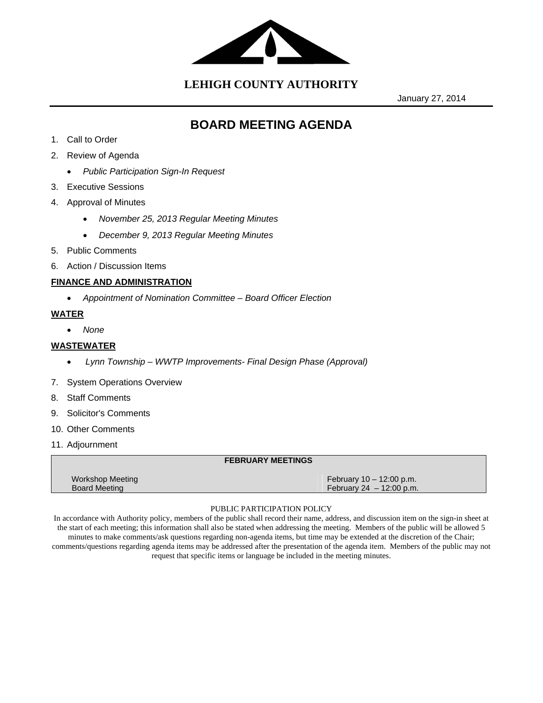

**LEHIGH COUNTY AUTHORITY**

January 27, 2014

# **BOARD MEETING AGENDA**

- 1. Call to Order
- 2. Review of Agenda
	- *Public Participation Sign-In Request*
- 3. Executive Sessions
- 4. Approval of Minutes
	- *November 25, 2013 Regular Meeting Minutes*
	- *December 9, 2013 Regular Meeting Minutes*
- 5. Public Comments
- 6. Action / Discussion Items

#### **FINANCE AND ADMINISTRATION**

*Appointment of Nomination Committee – Board Officer Election* 

## **WATER**

*None* 

## **WASTEWATER**

- *Lynn Township WWTP Improvements- Final Design Phase (Approval)*
- 7. System Operations Overview
- 8. Staff Comments
- 9. Solicitor's Comments
- 10. Other Comments
- 11. Adjournment

#### **FEBRUARY MEETINGS**

| <b>Workshop Meeting</b> | February $10 - 12:00$ p.m. |  |
|-------------------------|----------------------------|--|
|                         | February 24 $-12:00$ p.m.  |  |
|                         |                            |  |

#### PUBLIC PARTICIPATION POLICY

In accordance with Authority policy, members of the public shall record their name, address, and discussion item on the sign-in sheet at the start of each meeting; this information shall also be stated when addressing the meeting. Members of the public will be allowed 5 minutes to make comments/ask questions regarding non-agenda items, but time may be extended at the discretion of the Chair; comments/questions regarding agenda items may be addressed after the presentation of the agenda item. Members of the public may not request that specific items or language be included in the meeting minutes.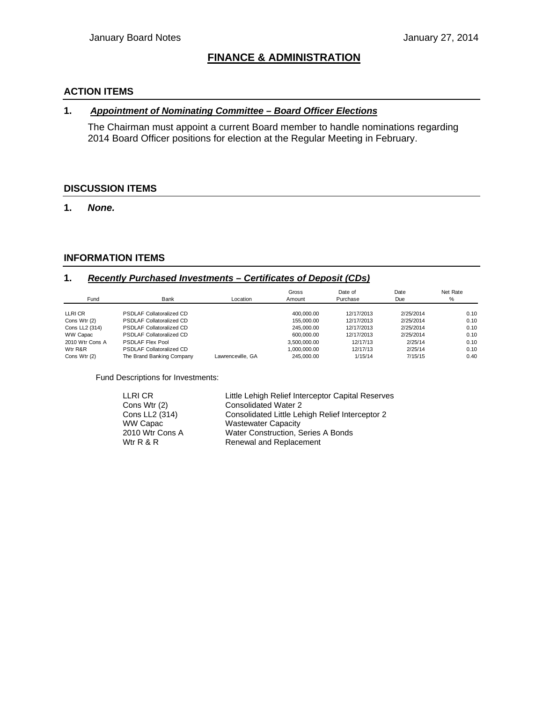# **FINANCE & ADMINISTRATION**

#### **ACTION ITEMS**

#### **1.** *Appointment of Nominating Committee – Board Officer Elections*

The Chairman must appoint a current Board member to handle nominations regarding 2014 Board Officer positions for election at the Regular Meeting in February.

#### **DISCUSSION ITEMS**

#### **1.** *None.*

#### **INFORMATION ITEMS**

#### **1.** *Recently Purchased Investments – Certificates of Deposit (CDs)*

| Fund            | Bank                            | Location          | Gross<br>Amount | Date of<br>Purchase | Date<br>Due | Net Rate<br>% |
|-----------------|---------------------------------|-------------------|-----------------|---------------------|-------------|---------------|
| LLRI CR         | <b>PSDLAF Collatoralized CD</b> |                   | 400.000.00      | 12/17/2013          | 2/25/2014   | 0.10          |
| Cons Wtr (2)    | <b>PSDLAF Collatoralized CD</b> |                   | 155.000.00      | 12/17/2013          | 2/25/2014   | 0.10          |
| Cons LL2 (314)  | <b>PSDLAF Collatoralized CD</b> |                   | 245.000.00      | 12/17/2013          | 2/25/2014   | 0.10          |
| <b>WW Capac</b> | <b>PSDLAF Collatoralized CD</b> |                   | 600.000.00      | 12/17/2013          | 2/25/2014   | 0.10          |
| 2010 Wtr Cons A | <b>PSDLAF Flex Pool</b>         |                   | 3.500.000.00    | 12/17/13            | 2/25/14     | 0.10          |
| Wtr R&R         | <b>PSDLAF Collatoralized CD</b> |                   | 1.000.000.00    | 12/17/13            | 2/25/14     | 0.10          |
| Cons Wtr (2)    | The Brand Banking Company       | Lawrenceville, GA | 245,000.00      | 1/15/14             | 7/15/15     | 0.40          |

Fund Descriptions for Investments:

| Little Lehigh Relief Interceptor Capital Reserves |
|---------------------------------------------------|
| Consolidated Water 2                              |
| Consolidated Little Lehigh Relief Interceptor 2   |
| <b>Wastewater Capacity</b>                        |
| Water Construction, Series A Bonds                |
| Renewal and Replacement                           |
|                                                   |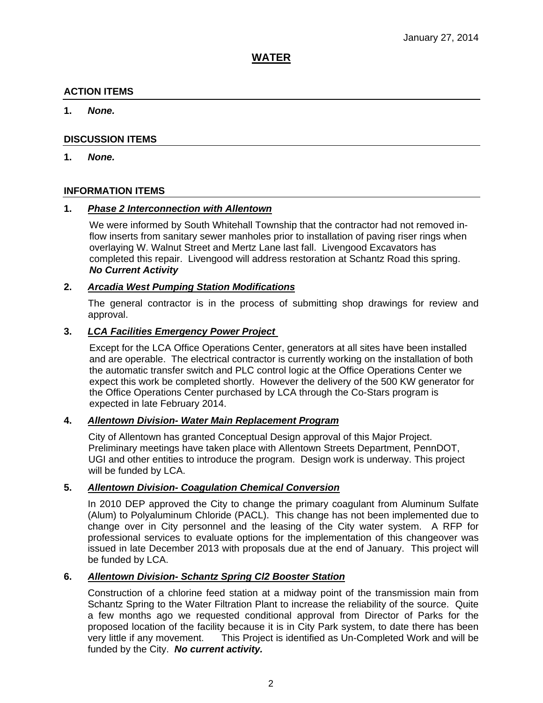## **ACTION ITEMS**

## **1.** *None.*

## **DISCUSSION ITEMS**

**1.** *None.*

## **INFORMATION ITEMS**

## **1.** *Phase 2 Interconnection with Allentown*

We were informed by South Whitehall Township that the contractor had not removed inflow inserts from sanitary sewer manholes prior to installation of paving riser rings when overlaying W. Walnut Street and Mertz Lane last fall. Livengood Excavators has completed this repair. Livengood will address restoration at Schantz Road this spring. *No Current Activity*

## **2.** *Arcadia West Pumping Station Modifications*

The general contractor is in the process of submitting shop drawings for review and approval.

## **3.** *LCA Facilities Emergency Power Project*

Except for the LCA Office Operations Center, generators at all sites have been installed and are operable. The electrical contractor is currently working on the installation of both the automatic transfer switch and PLC control logic at the Office Operations Center we expect this work be completed shortly. However the delivery of the 500 KW generator for the Office Operations Center purchased by LCA through the Co-Stars program is expected in late February 2014.

## **4.** *Allentown Division- Water Main Replacement Program*

City of Allentown has granted Conceptual Design approval of this Major Project. Preliminary meetings have taken place with Allentown Streets Department, PennDOT, UGI and other entities to introduce the program. Design work is underway. This project will be funded by LCA.

## **5.** *Allentown Division- Coagulation Chemical Conversion*

In 2010 DEP approved the City to change the primary coagulant from Aluminum Sulfate (Alum) to Polyaluminum Chloride (PACL). This change has not been implemented due to change over in City personnel and the leasing of the City water system. A RFP for professional services to evaluate options for the implementation of this changeover was issued in late December 2013 with proposals due at the end of January. This project will be funded by LCA.

## **6.** *Allentown Division- Schantz Spring Cl2 Booster Station*

Construction of a chlorine feed station at a midway point of the transmission main from Schantz Spring to the Water Filtration Plant to increase the reliability of the source. Quite a few months ago we requested conditional approval from Director of Parks for the proposed location of the facility because it is in City Park system, to date there has been very little if any movement. This Project is identified as Un-Completed Work and will be funded by the City. *No current activity.*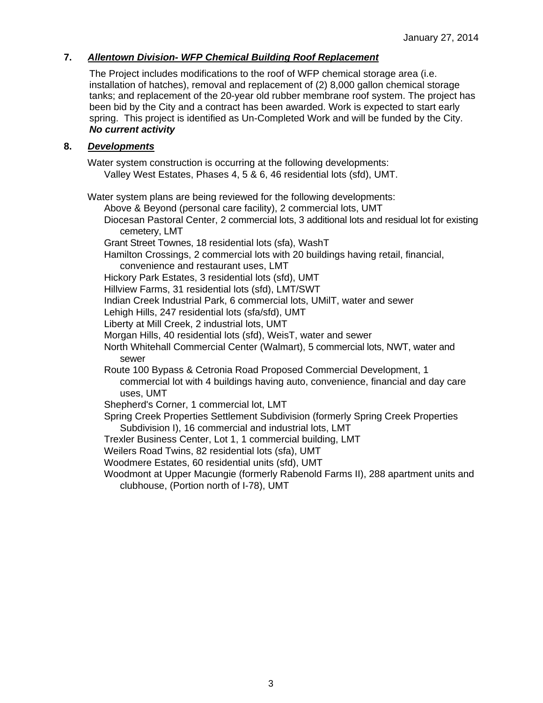# **7.** *Allentown Division- WFP Chemical Building Roof Replacement*

The Project includes modifications to the roof of WFP chemical storage area (i.e. installation of hatches), removal and replacement of (2) 8,000 gallon chemical storage tanks; and replacement of the 20-year old rubber membrane roof system. The project has been bid by the City and a contract has been awarded. Work is expected to start early spring. This project is identified as Un-Completed Work and will be funded by the City. *No current activity* 

## **8.** *Developments*

Water system construction is occurring at the following developments: Valley West Estates, Phases 4, 5 & 6, 46 residential lots (sfd), UMT.

Water system plans are being reviewed for the following developments:

Above & Beyond (personal care facility), 2 commercial lots, UMT

Diocesan Pastoral Center, 2 commercial lots, 3 additional lots and residual lot for existing cemetery, LMT

Grant Street Townes, 18 residential lots (sfa), WashT

Hamilton Crossings, 2 commercial lots with 20 buildings having retail, financial, convenience and restaurant uses, LMT

Hickory Park Estates, 3 residential lots (sfd), UMT

Hillview Farms, 31 residential lots (sfd), LMT/SWT

Indian Creek Industrial Park, 6 commercial lots, UMilT, water and sewer

Lehigh Hills, 247 residential lots (sfa/sfd), UMT

Liberty at Mill Creek, 2 industrial lots, UMT

Morgan Hills, 40 residential lots (sfd), WeisT, water and sewer

North Whitehall Commercial Center (Walmart), 5 commercial lots, NWT, water and sewer

Route 100 Bypass & Cetronia Road Proposed Commercial Development, 1 commercial lot with 4 buildings having auto, convenience, financial and day care uses, UMT

Shepherd's Corner, 1 commercial lot, LMT

Spring Creek Properties Settlement Subdivision (formerly Spring Creek Properties Subdivision I), 16 commercial and industrial lots, LMT

Trexler Business Center, Lot 1, 1 commercial building, LMT

Weilers Road Twins, 82 residential lots (sfa), UMT

Woodmere Estates, 60 residential units (sfd), UMT

Woodmont at Upper Macungie (formerly Rabenold Farms II), 288 apartment units and clubhouse, (Portion north of I-78), UMT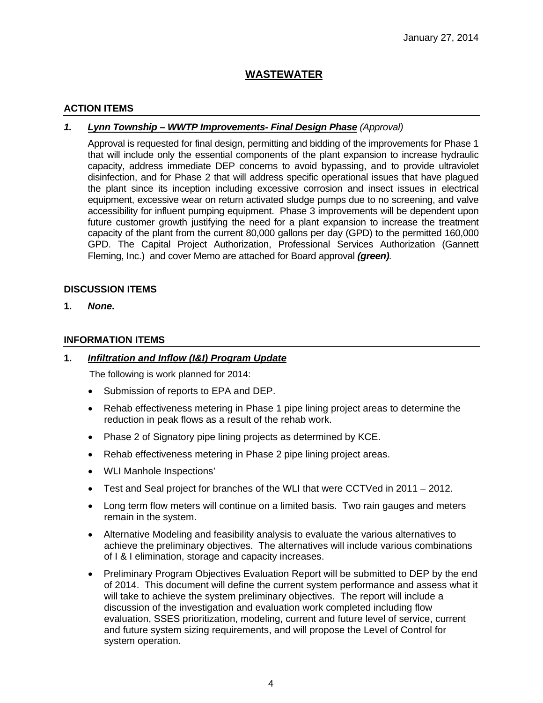# **WASTEWATER**

## **ACTION ITEMS**

## *1. Lynn Township – WWTP Improvements- Final Design Phase (Approval)*

Approval is requested for final design, permitting and bidding of the improvements for Phase 1 that will include only the essential components of the plant expansion to increase hydraulic capacity, address immediate DEP concerns to avoid bypassing, and to provide ultraviolet disinfection, and for Phase 2 that will address specific operational issues that have plagued the plant since its inception including excessive corrosion and insect issues in electrical equipment, excessive wear on return activated sludge pumps due to no screening, and valve accessibility for influent pumping equipment. Phase 3 improvements will be dependent upon future customer growth justifying the need for a plant expansion to increase the treatment capacity of the plant from the current 80,000 gallons per day (GPD) to the permitted 160,000 GPD. The Capital Project Authorization, Professional Services Authorization (Gannett Fleming, Inc.) and cover Memo are attached for Board approval *(green).*

## **DISCUSSION ITEMS**

**1.** *None.*

## **INFORMATION ITEMS**

## **1.** *Infiltration and Inflow (I&I) Program Update*

The following is work planned for 2014:

- Submission of reports to EPA and DEP.
- Rehab effectiveness metering in Phase 1 pipe lining project areas to determine the reduction in peak flows as a result of the rehab work.
- Phase 2 of Signatory pipe lining projects as determined by KCE.
- Rehab effectiveness metering in Phase 2 pipe lining project areas.
- WLI Manhole Inspections'
- Test and Seal project for branches of the WLI that were CCTVed in 2011 2012.
- Long term flow meters will continue on a limited basis. Two rain gauges and meters remain in the system.
- Alternative Modeling and feasibility analysis to evaluate the various alternatives to achieve the preliminary objectives. The alternatives will include various combinations of I & I elimination, storage and capacity increases.
- Preliminary Program Objectives Evaluation Report will be submitted to DEP by the end of 2014. This document will define the current system performance and assess what it will take to achieve the system preliminary objectives. The report will include a discussion of the investigation and evaluation work completed including flow evaluation, SSES prioritization, modeling, current and future level of service, current and future system sizing requirements, and will propose the Level of Control for system operation.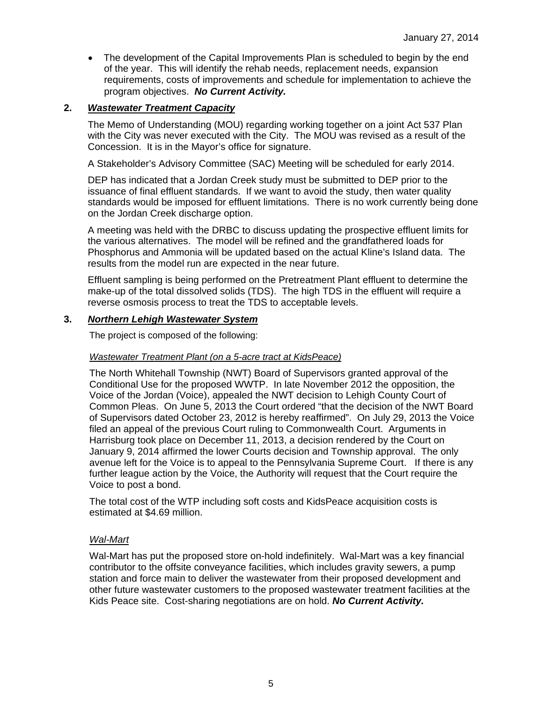• The development of the Capital Improvements Plan is scheduled to begin by the end of the year. This will identify the rehab needs, replacement needs, expansion requirements, costs of improvements and schedule for implementation to achieve the program objectives. *No Current Activity.*

# **2.** *Wastewater Treatment Capacity*

The Memo of Understanding (MOU) regarding working together on a joint Act 537 Plan with the City was never executed with the City. The MOU was revised as a result of the Concession. It is in the Mayor's office for signature.

A Stakeholder's Advisory Committee (SAC) Meeting will be scheduled for early 2014.

DEP has indicated that a Jordan Creek study must be submitted to DEP prior to the issuance of final effluent standards. If we want to avoid the study, then water quality standards would be imposed for effluent limitations. There is no work currently being done on the Jordan Creek discharge option.

A meeting was held with the DRBC to discuss updating the prospective effluent limits for the various alternatives. The model will be refined and the grandfathered loads for Phosphorus and Ammonia will be updated based on the actual Kline's Island data. The results from the model run are expected in the near future.

Effluent sampling is being performed on the Pretreatment Plant effluent to determine the make-up of the total dissolved solids (TDS). The high TDS in the effluent will require a reverse osmosis process to treat the TDS to acceptable levels.

## **3.** *Northern Lehigh Wastewater System*

The project is composed of the following:

## *Wastewater Treatment Plant (on a 5-acre tract at KidsPeace)*

The North Whitehall Township (NWT) Board of Supervisors granted approval of the Conditional Use for the proposed WWTP. In late November 2012 the opposition, the Voice of the Jordan (Voice), appealed the NWT decision to Lehigh County Court of Common Pleas. On June 5, 2013 the Court ordered "that the decision of the NWT Board of Supervisors dated October 23, 2012 is hereby reaffirmed". On July 29, 2013 the Voice filed an appeal of the previous Court ruling to Commonwealth Court. Arguments in Harrisburg took place on December 11, 2013, a decision rendered by the Court on January 9, 2014 affirmed the lower Courts decision and Township approval. The only avenue left for the Voice is to appeal to the Pennsylvania Supreme Court. If there is any further league action by the Voice, the Authority will request that the Court require the Voice to post a bond.

The total cost of the WTP including soft costs and KidsPeace acquisition costs is estimated at \$4.69 million.

## *Wal-Mart*

Wal-Mart has put the proposed store on-hold indefinitely. Wal-Mart was a key financial contributor to the offsite conveyance facilities, which includes gravity sewers, a pump station and force main to deliver the wastewater from their proposed development and other future wastewater customers to the proposed wastewater treatment facilities at the Kids Peace site. Cost-sharing negotiations are on hold. *No Current Activity.*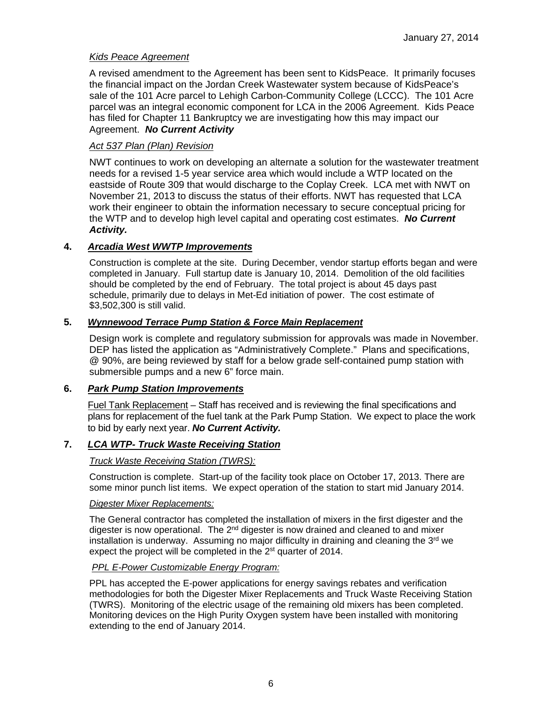## *Kids Peace Agreement*

A revised amendment to the Agreement has been sent to KidsPeace. It primarily focuses the financial impact on the Jordan Creek Wastewater system because of KidsPeace's sale of the 101 Acre parcel to Lehigh Carbon-Community College (LCCC). The 101 Acre parcel was an integral economic component for LCA in the 2006 Agreement. Kids Peace has filed for Chapter 11 Bankruptcy we are investigating how this may impact our Agreement. *No Current Activity*

## *Act 537 Plan (Plan) Revision*

NWT continues to work on developing an alternate a solution for the wastewater treatment needs for a revised 1-5 year service area which would include a WTP located on the eastside of Route 309 that would discharge to the Coplay Creek. LCA met with NWT on November 21, 2013 to discuss the status of their efforts. NWT has requested that LCA work their engineer to obtain the information necessary to secure conceptual pricing for the WTP and to develop high level capital and operating cost estimates. *No Current Activity.*

## **4.** *Arcadia West WWTP Improvements*

Construction is complete at the site. During December, vendor startup efforts began and were completed in January. Full startup date is January 10, 2014. Demolition of the old facilities should be completed by the end of February. The total project is about 45 days past schedule, primarily due to delays in Met-Ed initiation of power. The cost estimate of \$3,502,300 is still valid.

## **5.** *Wynnewood Terrace Pump Station & Force Main Replacement*

Design work is complete and regulatory submission for approvals was made in November. DEP has listed the application as "Administratively Complete." Plans and specifications, @ 90%, are being reviewed by staff for a below grade self-contained pump station with submersible pumps and a new 6" force main.

## **6.** *Park Pump Station Improvements*

Fuel Tank Replacement – Staff has received and is reviewing the final specifications and plans for replacement of the fuel tank at the Park Pump Station. We expect to place the work to bid by early next year. *No Current Activity.* 

## **7.** *LCA WTP- Truck Waste Receiving Station*

## *Truck Waste Receiving Station (TWRS):*

Construction is complete. Start-up of the facility took place on October 17, 2013. There are some minor punch list items. We expect operation of the station to start mid January 2014.

## *Digester Mixer Replacements:*

The General contractor has completed the installation of mixers in the first digester and the digester is now operational. The  $2<sup>nd</sup>$  digester is now drained and cleaned to and mixer installation is underway. Assuming no major difficulty in draining and cleaning the  $3<sup>rd</sup>$  we expect the project will be completed in the 2<sup>st</sup> quarter of 2014.

## *PPL E-Power Customizable Energy Program:*

PPL has accepted the E-power applications for energy savings rebates and verification methodologies for both the Digester Mixer Replacements and Truck Waste Receiving Station (TWRS). Monitoring of the electric usage of the remaining old mixers has been completed. Monitoring devices on the High Purity Oxygen system have been installed with monitoring extending to the end of January 2014.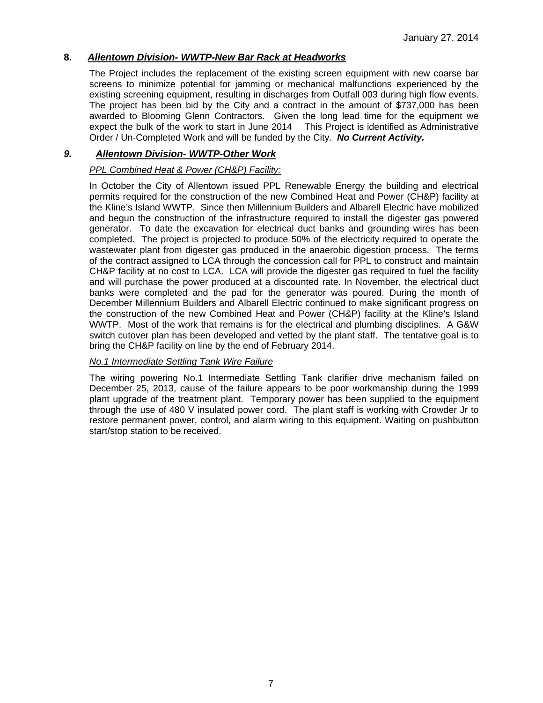## **8.** *Allentown Division- WWTP-New Bar Rack at Headworks*

The Project includes the replacement of the existing screen equipment with new coarse bar screens to minimize potential for jamming or mechanical malfunctions experienced by the existing screening equipment, resulting in discharges from Outfall 003 during high flow events. The project has been bid by the City and a contract in the amount of \$737,000 has been awarded to Blooming Glenn Contractors. Given the long lead time for the equipment we expect the bulk of the work to start in June 2014 This Project is identified as Administrative Order / Un-Completed Work and will be funded by the City. *No Current Activity.*

## *9. Allentown Division- WWTP-Other Work*

## *PPL Combined Heat & Power (CH&P) Facility:*

In October the City of Allentown issued PPL Renewable Energy the building and electrical permits required for the construction of the new Combined Heat and Power (CH&P) facility at the Kline's Island WWTP. Since then Millennium Builders and Albarell Electric have mobilized and begun the construction of the infrastructure required to install the digester gas powered generator. To date the excavation for electrical duct banks and grounding wires has been completed. The project is projected to produce 50% of the electricity required to operate the wastewater plant from digester gas produced in the anaerobic digestion process. The terms of the contract assigned to LCA through the concession call for PPL to construct and maintain CH&P facility at no cost to LCA. LCA will provide the digester gas required to fuel the facility and will purchase the power produced at a discounted rate. In November, the electrical duct banks were completed and the pad for the generator was poured. During the month of December Millennium Builders and Albarell Electric continued to make significant progress on the construction of the new Combined Heat and Power (CH&P) facility at the Kline's Island WWTP. Most of the work that remains is for the electrical and plumbing disciplines. A G&W switch cutover plan has been developed and vetted by the plant staff. The tentative goal is to bring the CH&P facility on line by the end of February 2014.

## *No.1 Intermediate Settling Tank Wire Failure*

The wiring powering No.1 Intermediate Settling Tank clarifier drive mechanism failed on December 25, 2013, cause of the failure appears to be poor workmanship during the 1999 plant upgrade of the treatment plant. Temporary power has been supplied to the equipment through the use of 480 V insulated power cord. The plant staff is working with Crowder Jr to restore permanent power, control, and alarm wiring to this equipment. Waiting on pushbutton start/stop station to be received.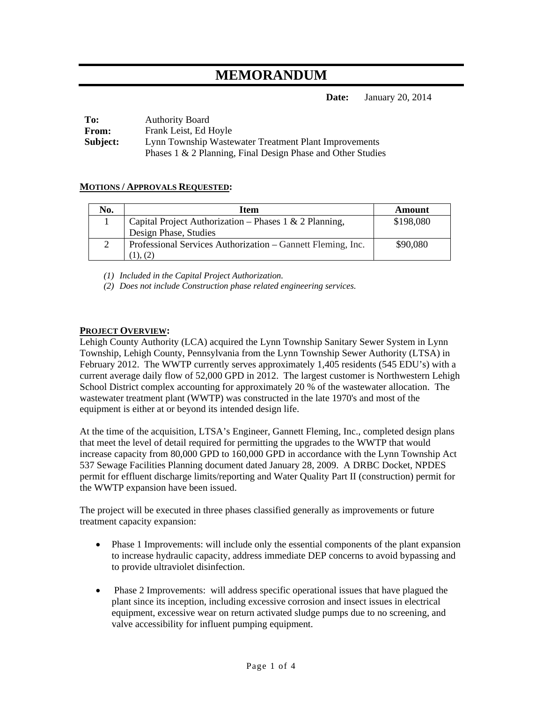# **MEMORANDUM**

**Date:** January 20, 2014

| To:          | <b>Authority Board</b>                                      |
|--------------|-------------------------------------------------------------|
| <b>From:</b> | Frank Leist, Ed Hoyle                                       |
| Subject:     | Lynn Township Wastewater Treatment Plant Improvements       |
|              | Phases 1 & 2 Planning, Final Design Phase and Other Studies |

## **MOTIONS / APPROVALS REQUESTED:**

| No. | Item                                                        | Amount    |
|-----|-------------------------------------------------------------|-----------|
|     | Capital Project Authorization - Phases $1 < 2$ Planning,    | \$198,080 |
|     | Design Phase, Studies                                       |           |
|     | Professional Services Authorization – Gannett Fleming, Inc. | \$90,080  |
|     |                                                             |           |

*(1) Included in the Capital Project Authorization.* 

*(2) Does not include Construction phase related engineering services.* 

## **PROJECT OVERVIEW:**

Lehigh County Authority (LCA) acquired the Lynn Township Sanitary Sewer System in Lynn Township, Lehigh County, Pennsylvania from the Lynn Township Sewer Authority (LTSA) in February 2012. The WWTP currently serves approximately 1,405 residents (545 EDU's) with a current average daily flow of 52,000 GPD in 2012. The largest customer is Northwestern Lehigh School District complex accounting for approximately 20 % of the wastewater allocation. The wastewater treatment plant (WWTP) was constructed in the late 1970's and most of the equipment is either at or beyond its intended design life.

At the time of the acquisition, LTSA's Engineer, Gannett Fleming, Inc., completed design plans that meet the level of detail required for permitting the upgrades to the WWTP that would increase capacity from 80,000 GPD to 160,000 GPD in accordance with the Lynn Township Act 537 Sewage Facilities Planning document dated January 28, 2009. A DRBC Docket, NPDES permit for effluent discharge limits/reporting and Water Quality Part II (construction) permit for the WWTP expansion have been issued.

The project will be executed in three phases classified generally as improvements or future treatment capacity expansion:

- Phase 1 Improvements: will include only the essential components of the plant expansion to increase hydraulic capacity, address immediate DEP concerns to avoid bypassing and to provide ultraviolet disinfection.
- Phase 2 Improvements: will address specific operational issues that have plagued the plant since its inception, including excessive corrosion and insect issues in electrical equipment, excessive wear on return activated sludge pumps due to no screening, and valve accessibility for influent pumping equipment.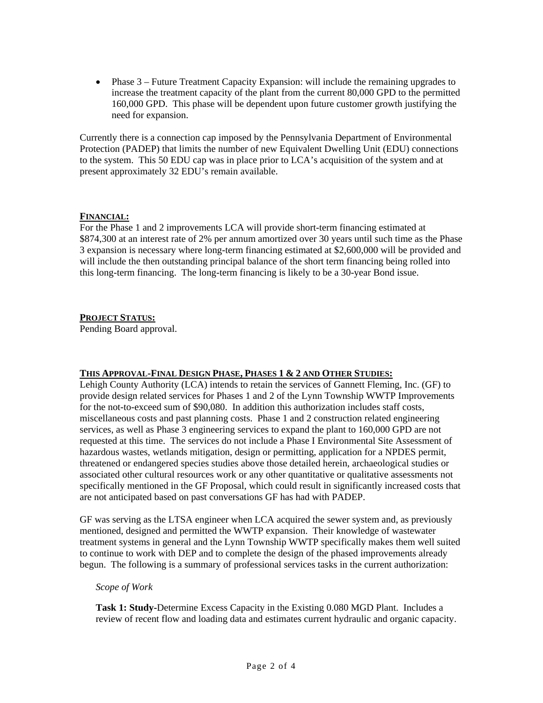• Phase 3 – Future Treatment Capacity Expansion: will include the remaining upgrades to increase the treatment capacity of the plant from the current 80,000 GPD to the permitted 160,000 GPD. This phase will be dependent upon future customer growth justifying the need for expansion.

Currently there is a connection cap imposed by the Pennsylvania Department of Environmental Protection (PADEP) that limits the number of new Equivalent Dwelling Unit (EDU) connections to the system. This 50 EDU cap was in place prior to LCA's acquisition of the system and at present approximately 32 EDU's remain available.

## **FINANCIAL:**

For the Phase 1 and 2 improvements LCA will provide short-term financing estimated at \$874,300 at an interest rate of 2% per annum amortized over 30 years until such time as the Phase 3 expansion is necessary where long-term financing estimated at \$2,600,000 will be provided and will include the then outstanding principal balance of the short term financing being rolled into this long-term financing. The long-term financing is likely to be a 30-year Bond issue.

## **PROJECT STATUS:**

Pending Board approval.

## **THIS APPROVAL-FINAL DESIGN PHASE, PHASES 1 & 2 AND OTHER STUDIES:**

Lehigh County Authority (LCA) intends to retain the services of Gannett Fleming, Inc. (GF) to provide design related services for Phases 1 and 2 of the Lynn Township WWTP Improvements for the not-to-exceed sum of \$90,080. In addition this authorization includes staff costs, miscellaneous costs and past planning costs. Phase 1 and 2 construction related engineering services, as well as Phase 3 engineering services to expand the plant to 160,000 GPD are not requested at this time. The services do not include a Phase I Environmental Site Assessment of hazardous wastes, wetlands mitigation, design or permitting, application for a NPDES permit, threatened or endangered species studies above those detailed herein, archaeological studies or associated other cultural resources work or any other quantitative or qualitative assessments not specifically mentioned in the GF Proposal, which could result in significantly increased costs that are not anticipated based on past conversations GF has had with PADEP.

GF was serving as the LTSA engineer when LCA acquired the sewer system and, as previously mentioned, designed and permitted the WWTP expansion. Their knowledge of wastewater treatment systems in general and the Lynn Township WWTP specifically makes them well suited to continue to work with DEP and to complete the design of the phased improvements already begun. The following is a summary of professional services tasks in the current authorization:

## *Scope of Work*

**Task 1: Study-**Determine Excess Capacity in the Existing 0.080 MGD Plant. Includes a review of recent flow and loading data and estimates current hydraulic and organic capacity.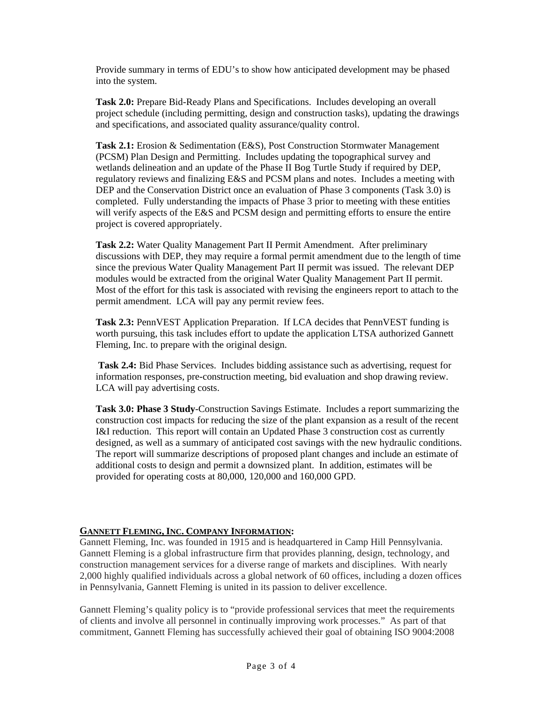Provide summary in terms of EDU's to show how anticipated development may be phased into the system.

**Task 2.0:** Prepare Bid-Ready Plans and Specifications. Includes developing an overall project schedule (including permitting, design and construction tasks), updating the drawings and specifications, and associated quality assurance/quality control.

**Task 2.1:** Erosion & Sedimentation (E&S), Post Construction Stormwater Management (PCSM) Plan Design and Permitting. Includes updating the topographical survey and wetlands delineation and an update of the Phase II Bog Turtle Study if required by DEP, regulatory reviews and finalizing E&S and PCSM plans and notes. Includes a meeting with DEP and the Conservation District once an evaluation of Phase 3 components (Task 3.0) is completed. Fully understanding the impacts of Phase 3 prior to meeting with these entities will verify aspects of the E&S and PCSM design and permitting efforts to ensure the entire project is covered appropriately.

**Task 2.2:** Water Quality Management Part II Permit Amendment. After preliminary discussions with DEP, they may require a formal permit amendment due to the length of time since the previous Water Quality Management Part II permit was issued. The relevant DEP modules would be extracted from the original Water Quality Management Part II permit. Most of the effort for this task is associated with revising the engineers report to attach to the permit amendment. LCA will pay any permit review fees.

**Task 2.3:** PennVEST Application Preparation. If LCA decides that PennVEST funding is worth pursuing, this task includes effort to update the application LTSA authorized Gannett Fleming, Inc. to prepare with the original design.

**Task 2.4:** Bid Phase Services. Includes bidding assistance such as advertising, request for information responses, pre-construction meeting, bid evaluation and shop drawing review. LCA will pay advertising costs.

**Task 3.0: Phase 3 Study**-Construction Savings Estimate. Includes a report summarizing the construction cost impacts for reducing the size of the plant expansion as a result of the recent I&I reduction. This report will contain an Updated Phase 3 construction cost as currently designed, as well as a summary of anticipated cost savings with the new hydraulic conditions. The report will summarize descriptions of proposed plant changes and include an estimate of additional costs to design and permit a downsized plant. In addition, estimates will be provided for operating costs at 80,000, 120,000 and 160,000 GPD.

## **GANNETT FLEMING, INC. COMPANY INFORMATION:**

Gannett Fleming, Inc. was founded in 1915 and is headquartered in Camp Hill Pennsylvania. Gannett Fleming is a global infrastructure firm that provides planning, design, technology, and construction management services for a diverse range of markets and disciplines. With nearly 2,000 highly qualified individuals across a global network of 60 offices, including a dozen offices in Pennsylvania, Gannett Fleming is united in its passion to deliver excellence.

Gannett Fleming's quality policy is to "provide professional services that meet the requirements of clients and involve all personnel in continually improving work processes." As part of that commitment, Gannett Fleming has successfully achieved their goal of obtaining ISO 9004:2008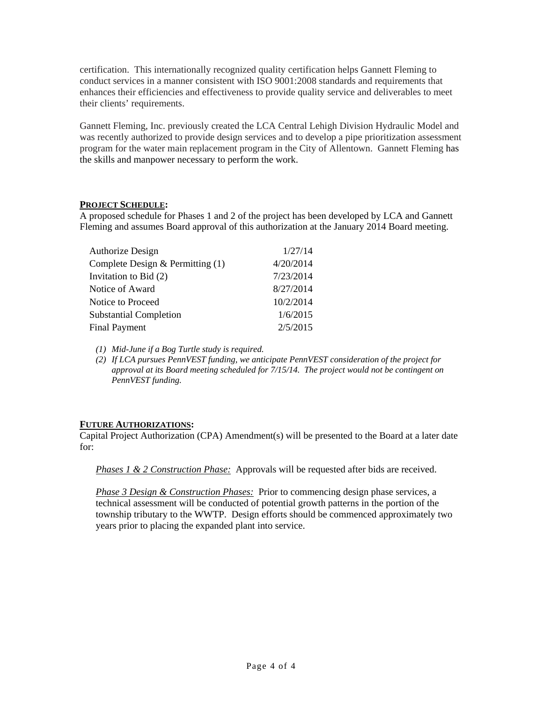certification. This internationally recognized quality certification helps Gannett Fleming to conduct services in a manner consistent with ISO 9001:2008 standards and requirements that enhances their efficiencies and effectiveness to provide quality service and deliverables to meet their clients' requirements.

Gannett Fleming, Inc. previously created the LCA Central Lehigh Division Hydraulic Model and was recently authorized to provide design services and to develop a pipe prioritization assessment program for the water main replacement program in the City of Allentown. Gannett Fleming has the skills and manpower necessary to perform the work.

## **PROJECT SCHEDULE:**

A proposed schedule for Phases 1 and 2 of the project has been developed by LCA and Gannett Fleming and assumes Board approval of this authorization at the January 2014 Board meeting.

| <b>Authorize Design</b>          | 1/27/14   |
|----------------------------------|-----------|
| Complete Design & Permitting (1) | 4/20/2014 |
| Invitation to Bid (2)            | 7/23/2014 |
| Notice of Award                  | 8/27/2014 |
| Notice to Proceed                | 10/2/2014 |
| <b>Substantial Completion</b>    | 1/6/2015  |
| <b>Final Payment</b>             | 2/5/2015  |

*(1) Mid-June if a Bog Turtle study is required.* 

*(2) If LCA pursues PennVEST funding, we anticipate PennVEST consideration of the project for approval at its Board meeting scheduled for 7/15/14. The project would not be contingent on PennVEST funding.* 

## **FUTURE AUTHORIZATIONS:**

Capital Project Authorization (CPA) Amendment(s) will be presented to the Board at a later date for:

*Phases 1 & 2 Construction Phase:* Approvals will be requested after bids are received.

*Phase 3 Design & Construction Phases:* Prior to commencing design phase services, a technical assessment will be conducted of potential growth patterns in the portion of the township tributary to the WWTP. Design efforts should be commenced approximately two years prior to placing the expanded plant into service.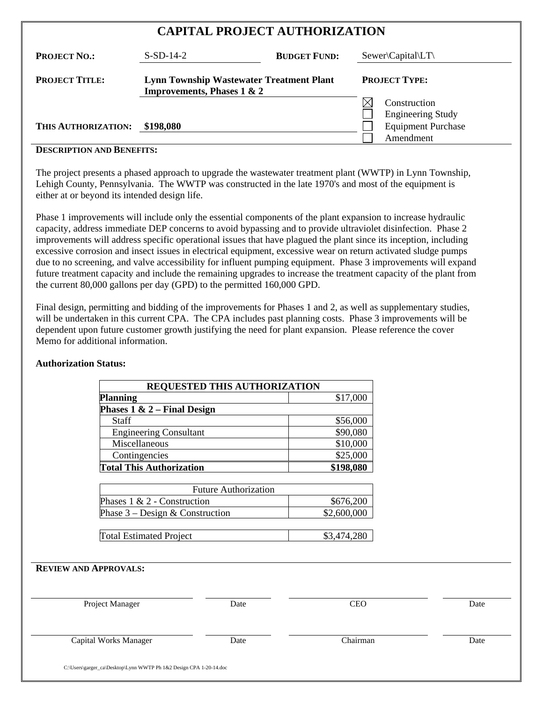| <b>CAPITAL PROJECT AUTHORIZATION</b> |                                                                               |                     |                           |  |
|--------------------------------------|-------------------------------------------------------------------------------|---------------------|---------------------------|--|
| <b>PROJECT NO.:</b>                  | $S-SD-14-2$                                                                   | <b>BUDGET FUND:</b> | $Sewer\$ Capital          |  |
| <b>PROJECT TITLE:</b>                | <b>Lynn Township Wastewater Treatment Plant</b><br>Improvements, Phases 1 & 2 |                     | <b>PROJECT TYPE:</b>      |  |
|                                      |                                                                               |                     | Construction              |  |
|                                      |                                                                               |                     | <b>Engineering Study</b>  |  |
| THIS AUTHORIZATION:                  | \$198,080                                                                     |                     | <b>Equipment Purchase</b> |  |
|                                      |                                                                               |                     | Amendment                 |  |

#### **DESCRIPTION AND BENEFITS:**

The project presents a phased approach to upgrade the wastewater treatment plant (WWTP) in Lynn Township, Lehigh County, Pennsylvania. The WWTP was constructed in the late 1970's and most of the equipment is either at or beyond its intended design life.

Phase 1 improvements will include only the essential components of the plant expansion to increase hydraulic capacity, address immediate DEP concerns to avoid bypassing and to provide ultraviolet disinfection. Phase 2 improvements will address specific operational issues that have plagued the plant since its inception, including excessive corrosion and insect issues in electrical equipment, excessive wear on return activated sludge pumps due to no screening, and valve accessibility for influent pumping equipment. Phase 3 improvements will expand future treatment capacity and include the remaining upgrades to increase the treatment capacity of the plant from the current 80,000 gallons per day (GPD) to the permitted 160,000 GPD.

Final design, permitting and bidding of the improvements for Phases 1 and 2, as well as supplementary studies, will be undertaken in this current CPA. The CPA includes past planning costs. Phase 3 improvements will be dependent upon future customer growth justifying the need for plant expansion. Please reference the cover Memo for additional information.

|                                   | REQUESTED THIS AUTHORIZATION |             |      |
|-----------------------------------|------------------------------|-------------|------|
| <b>Planning</b>                   |                              | \$17,000    |      |
| Phases $1 \& 2$ – Final Design    |                              |             |      |
| <b>Staff</b>                      |                              | \$56,000    |      |
| <b>Engineering Consultant</b>     |                              | \$90,080    |      |
| Miscellaneous                     |                              | \$10,000    |      |
| Contingencies                     |                              | \$25,000    |      |
| <b>Total This Authorization</b>   |                              | \$198,080   |      |
|                                   | <b>Future Authorization</b>  |             |      |
| Phases $1 \& 2$ - Construction    |                              | \$676,200   |      |
| Phase $3 - Design & Construction$ |                              | \$2,600,000 |      |
| <b>Total Estimated Project</b>    |                              | \$3,474,280 |      |
|                                   |                              |             |      |
|                                   |                              |             |      |
| <b>REVIEW AND APPROVALS:</b>      |                              |             |      |
| Project Manager                   | Date                         | <b>CEO</b>  | Date |

## **Authorization Status:**